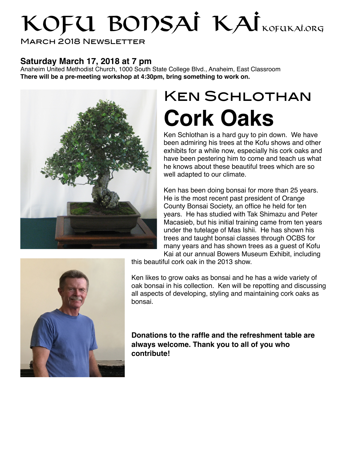# KOFU BODSAİ KAİ KOFUKAİ.ORG

March 2018 Newsletter

### **Saturday March 17, 2018 at 7 pm**

Anaheim United Methodist Church, 1000 South State College Blvd., Anaheim, East Classroom **There will be a pre-meeting workshop at 4:30pm, bring something to work on.**



## Ken Schlothan **Cork Oaks**

Ken Schlothan is a hard guy to pin down. We have been admiring his trees at the Kofu shows and other exhibits for a while now, especially his cork oaks and have been pestering him to come and teach us what he knows about these beautiful trees which are so well adapted to our climate.

Ken has been doing bonsai for more than 25 years. He is the most recent past president of Orange County Bonsai Society, an office he held for ten years. He has studied with Tak Shimazu and Peter Macasieb, but his initial training came from ten years under the tutelage of Mas Ishii. He has shown his trees and taught bonsai classes through OCBS for many years and has shown trees as a guest of Kofu Kai at our annual Bowers Museum Exhibit, including



this beautiful cork oak in the 2013 show.

Ken likes to grow oaks as bonsai and he has a wide variety of oak bonsai in his collection. Ken will be repotting and discussing all aspects of developing, styling and maintaining cork oaks as bonsai.

**Donations to the raffle and the refreshment table are always welcome. Thank you to all of you who contribute!**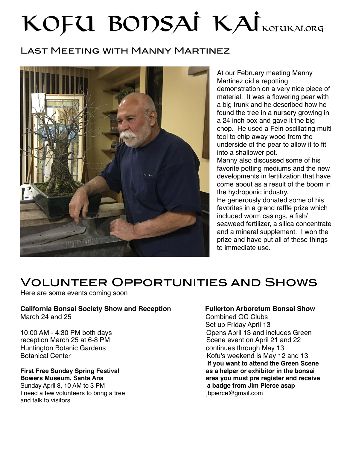# KOFU BODSAİ KAİ

### Last Meeting with Manny Martinez



At our February meeting Manny Martinez did a repotting demonstration on a very nice piece of material. It was a flowering pear with a big trunk and he described how he found the tree in a nursery growing in a 24 inch box and gave it the big chop. He used a Fein oscillating multi tool to chip away wood from the underside of the pear to allow it to fit into a shallower pot.

Manny also discussed some of his favorite potting mediums and the new developments in fertilization that have come about as a result of the boom in the hydroponic industry.

He generously donated some of his favorites in a grand raffle prize which included worm casings, a fish/ seaweed fertilizer, a silica concentrate and a mineral supplement. I won the prize and have put all of these things to immediate use.

## Volunteer Opportunities and Shows

Here are some events coming soon

### **California Bonsai Society Show and Reception Fullerton Arboretum Bonsai Show** March 24 and 25 Combined OC Clubs

Huntington Botanic Gardens **Continues** continues through May 13

Sunday April 8, 10 AM to 3 PM **a badge from Jim Pierce asap a badge from Jim Pierce asap a** bed a few volunteers to bring a tree I need a few volunteers to bring a tree and talk to visitors

 Set up Friday April 13 10:00 AM - 4:30 PM both days<br>
reception March 25 at 6-8 PM<br>
Scene event on April 21 and 22 Scene event on April 21 and 22 Botanical Center **Botanical Center Kofu's weekend is May 12 and 13 If you want to attend the Green Scene First Free Sunday Spring Festival** *in the same as a helper or exhibitor in the bonsai* **as a helper or exhibitor in the bonsai Bowers Museum, Santa Ana area you must pre register and receive**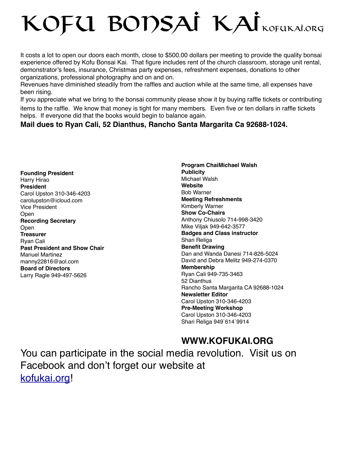# KOFU BODSAÍ KAÍ<sub>kofukai.org</sub>

It costs a lot to open our doors each month, close to \$500.00 dollars per meeting to provide the quality bonsai experience offered by Kofu Bonsai Kai. That figure includes rent of the church classroom, storage unit rental, demonstrator's fees, insurance, Christmas party expenses, refreshment expenses, donations to other organizations, professional photography and on and on.

Revenues have diminished steadily from the raffles and auction while at the same time, all expenses have been rising.

If you appreciate what we bring to the bonsai community please show it by buying raffle tickets or contributing items to the raffle. We know that money is tight for many members. Even five or ten dollars in raffle tickets helps. If everyone did that the books would begin to balance again.

### **Mail dues to Ryan Cali, 52 Dianthus, Rancho Santa Margarita Ca 92688-1024.**

**Founding President** Harry Hirao **President** Carol Upston 310-346-4203 carolupston@icloud.com Vice President Open **Recording Secretary** Open **Treasurer** Ryan Cali **Past President and Show Chair** Manuel Martinez manny22816@aol.com **Board of Directors** Larry Ragle 949-497-5626

**Program ChaiMichael Walsh Publicity**  Michael Walsh **Website** Bob Warner **Meeting Refreshments** Kimberly Warner **Show Co-Chairs** Anthony Chiusolo 714-998-3420 Mike Viljak 949-642-3577 **Badges and Class instructor** Shari Religa **Benefit Drawing** Dan and Wanda Danesi 714-826-5024 David and Debra Melitz 949-274-0370 **Membership** Ryan Cali 949-735-3463 52 Dianthus Rancho Santa Margarita CA 92688-1024 **Newsletter Editor** Carol Upston 310-346-4203 **Pre-Meeting Workshop** Carol Upston 310-346-4203 Shari Religa 949`614`9914

### **WWW.KOFUKAI.ORG**

You can participate in the social media revolution. Visit us on Facebook and don't forget our website at [kofukai.org](http://kofukai.org)!